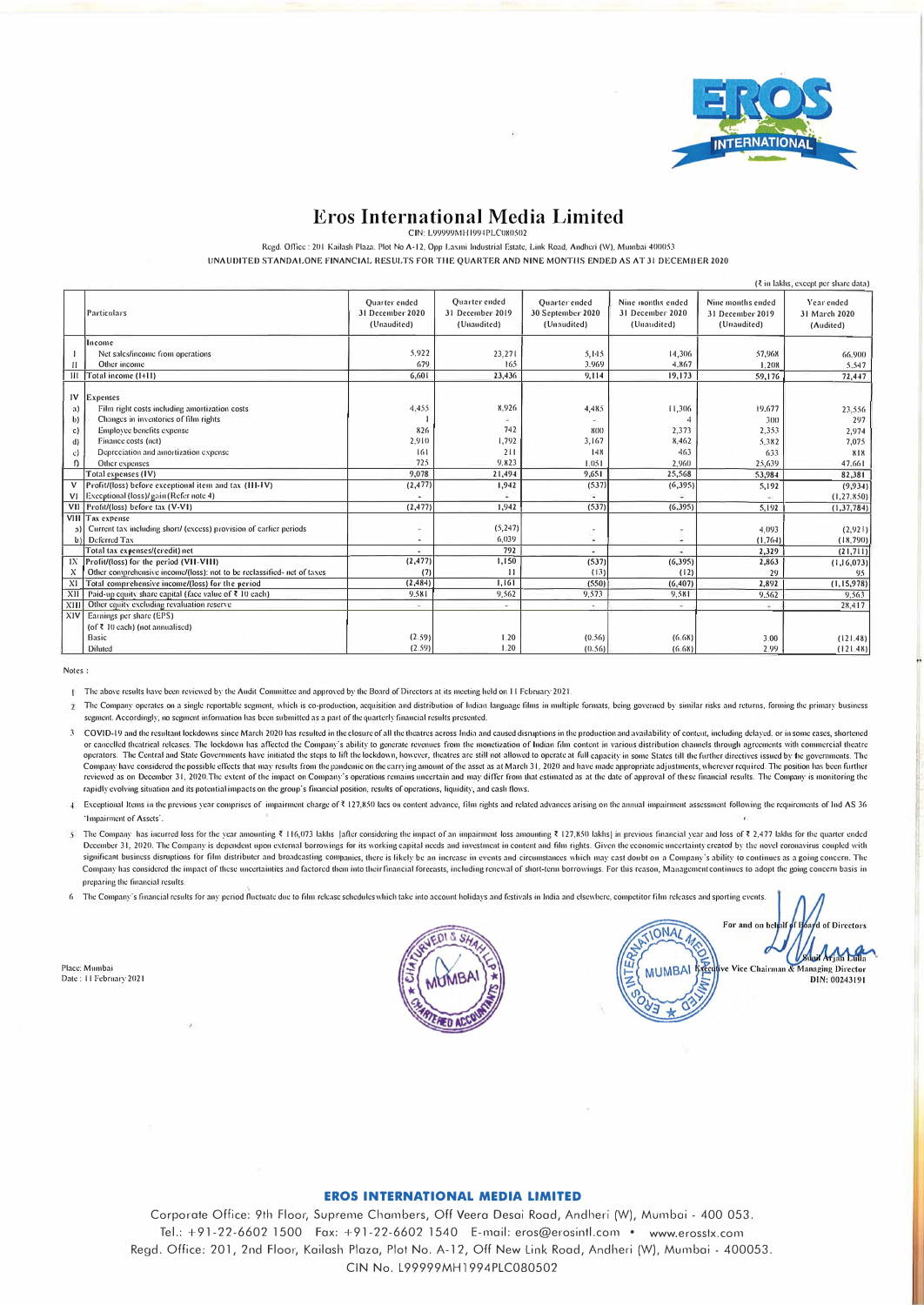

## **Eros International Media Limited**

CIN: L99999MH1994PLC080502

Regd. Office : 201 Kailash Plaza. Plot No A-12, Opp Laxmi Industrial Estate, Link Road, Andheri (W), Mumbai 400053

UNAUDITED STANDALONE FINANCIAL RESULTS FOR THE QUARTER AND NINE MONTHS ENDED AS AT 31 DECEMBER 2020

|                              | $(3 \infty)$ in lakhs, except per share data)                                                           |                                                         |                                                         |                                                          |                                                      |                                                      |                                          |
|------------------------------|---------------------------------------------------------------------------------------------------------|---------------------------------------------------------|---------------------------------------------------------|----------------------------------------------------------|------------------------------------------------------|------------------------------------------------------|------------------------------------------|
|                              | Particulars                                                                                             | <b>Ouarter</b> ended<br>31 December 2020<br>(Unaudited) | <b>Ouarter</b> ended<br>31 December 2019<br>(Unaudited) | <b>Ouarter</b> ended<br>30 September 2020<br>(Unaudited) | Nine months ended<br>31 December 2020<br>(Unaudited) | Nine months ended<br>31 December 2019<br>(Unaudited) | Year ended<br>31 March 2020<br>(Audited) |
|                              | Income                                                                                                  |                                                         |                                                         |                                                          |                                                      |                                                      |                                          |
|                              | Net sales/income from operations                                                                        | 5.922                                                   | 23,271                                                  | 5,145                                                    | 14,306                                               | 57,968                                               | 66,900                                   |
| П                            | Other income                                                                                            | 679                                                     | 165                                                     | 3.969                                                    | 4.867                                                | 1.208                                                | 5.547                                    |
|                              | III Total income (1+11)                                                                                 | 6,601                                                   | 23,436                                                  | 9,114                                                    | 19,173                                               | 59,176                                               | 72.447                                   |
| a)<br>$\mathbf{b}$           | $IV$ Expenses<br>Film right costs including amortization costs<br>Changes in inventories of film rights | 4.455                                                   | 8.926                                                   | 4,485                                                    | 11,306                                               | 19.677<br>300                                        | 23,556<br>297                            |
| c)                           | Employee benefits expense                                                                               | 826                                                     | 742                                                     | 800                                                      | 2,373                                                | 2,353                                                | 2,974                                    |
| d)                           | Finance costs (net)                                                                                     | 2,910                                                   | 1,792                                                   | 3.167                                                    | 8,462                                                | 5.382                                                | 7.075                                    |
| $\mathbf{c}$                 | Depreciation and amortization expense                                                                   | 6                                                       | 211                                                     | 148                                                      | 463                                                  | 633                                                  | 818                                      |
| $\Omega$                     | Other expenses                                                                                          | 725                                                     | 9.823                                                   | 1.051                                                    | 2.960                                                | 25,639                                               | 47.661                                   |
|                              | Total expenses (IV)                                                                                     | 9,078                                                   | 21,494                                                  | 9,651                                                    | 25,568                                               | 53,984                                               | 82,381                                   |
|                              | Profit/(loss) before exceptional item and tax (III-IV)                                                  | (2, 477)                                                | 1,942                                                   | (537)                                                    | (6,395)                                              | 5,192                                                | (9.934)                                  |
|                              | V1 Execptional (loss)/gain (Refer note 4)                                                               |                                                         |                                                         |                                                          |                                                      |                                                      | (1, 27.850)                              |
|                              | VII Profit/(loss) before tax (V-VI)                                                                     | (2, 477)                                                | 1,942                                                   | (537)                                                    | (6, 395)                                             | 5.192                                                | (1, 37, 784)                             |
| $\left  \cdot \right\rangle$ | VIII Tax expense<br>Current tax including short/ (excess) provision of carlier periods<br>Deferred Tax  | ۰                                                       | (5, 247)<br>6,039                                       | u                                                        |                                                      | 4,093<br>(1.764)                                     | (2,921)<br>(18, 790)                     |
|                              | Total tax expenses/(credit) net                                                                         | ÷                                                       | 792                                                     |                                                          |                                                      | 2,329                                                | (21,711)                                 |
| 1X                           | Profit/(loss) for the period (VII-VIII)                                                                 | (2, 477)                                                | 1,150                                                   | (537)                                                    | (6, 395)                                             | 2,863                                                | (1, 16, 073)                             |
| X                            | Other comprehensive income/(loss): not to be reclassified- net of taxes                                 | (7)                                                     | $\overline{11}$                                         | (13)                                                     | (12)                                                 | 29                                                   | $95^{\circ}$                             |
| X1                           | Total comprehensive income/(loss) for the period                                                        | (2, 484)                                                | 1,161                                                   | (550)                                                    | (6, 407)                                             | 2,892                                                | (1, 15, 978)                             |
| XII                          | Paid-up equity share capital (face value of ₹ 10 each)                                                  | 9.581                                                   | 9,562                                                   | 9,573                                                    | 9,581                                                | 9.562                                                | 9.563                                    |
|                              | XIII Other equity excluding revaluation reserve                                                         | v                                                       | ٠                                                       | ×.                                                       |                                                      | $\sim$                                               | 28,417                                   |
| XIV                          | Earnings per share (EPS)<br>(of $\bar{x}$ 10 each) (not annualised)                                     |                                                         |                                                         |                                                          |                                                      |                                                      |                                          |
|                              | Basic                                                                                                   | (2.59)                                                  | 1.20                                                    | (0.56)                                                   | (6.68)                                               | 3.00                                                 | (121.48)                                 |
|                              | Diluted                                                                                                 | (2.59)                                                  | 1.20                                                    | (0.56)                                                   | (6.68)                                               | 2.99                                                 | (121.48)                                 |

Notes:

The above results have been reviewed by the Audit Committee and approved by the Board of Directors at its meeting held on 11 February 2021.

2 The Company operates on a single reportable segment, which is co-production, acquisition and distribution of Indian language films in multiple formats, being governed by similar risks and returns, forming the primary bus segment. Accordingly, no segment information has been submitted as a part of the quarterly financial results presented.

- 3 COVID-19 and the resultant lockdowns since March 2020 has resulted in the closure of all the theatres across India and caused disruptions in the production and availability of content, including delayed, or in some cases operators. The Central and State Governments have initiated the steps to lift the lockdown, however, theatres are still not allowed to operate at full equacity in some States till the further directives issued by the gover Company have considered the possible effects that may results from the pandemic on the carrying amount of the asset as at March 31, 2020 and have made appropriate adjustments, wherever required. The position has been furth rapidly evolving situation and its potential impacts on the group's financial position, results of operations, liquidity, and cash flows.
- 4 Exceptional Items in the previous year comprises of impairment charge of ₹ 127,850 lacs on content advance, film rights and related advances arising on the annual impairment assessment following the requirements of Ind A 'Impairment of Assets'
- 5 The Company has incurred loss for the year amounting ₹ 116,073 lakhs [after considering the impact of an impairment loss amounting ₹ 127,850 lakhs] in previous financial year and loss of ₹ 2,477 lakhs for the quarter end December 31, 2020. The Company is dependent upon external borrowings for its working capital needs and investment in content and film rights. Given the economic uncertainty created by the novel coronavirus coupled with sig Company has considered the impact of these uncertainties and factored them into their financial forecasts, including renewal of short-term borrowings. For this reason, Management continues to adopt the going concern basis preparing the financial results
- 6 The Connany's financial results for any period fluctuate due to film release schedules which take into account holidays and festivals in India and elsewhere, connectior film releases and sporting events.

Place: Mumbai Date: 11 February 2021



yd of Directors For and on be **IONAL** Supi Arjan Lulla **MUMBAI** Vice Chairman & Managing Director DIN: 00243191

## **EROS INTERNATIONAL MEDIA LIMITED**

Corporate Office: 9th Floor, Supreme Chambers, Off Veera Desai Road, Andheri (W), Mumbai - 400 053. Tel.: +91-22-6602 1500 Fax: +91-22-6602 1540 E-mail: eros@erosintl.com • www.erosstx.com Regd. Office: 201, 2nd Floor, Kailash Plaza, Plot No. A-12, Off New Link Road, Andheri (W), Mumbai - 400053. CIN No. L99999MH1994PLC080502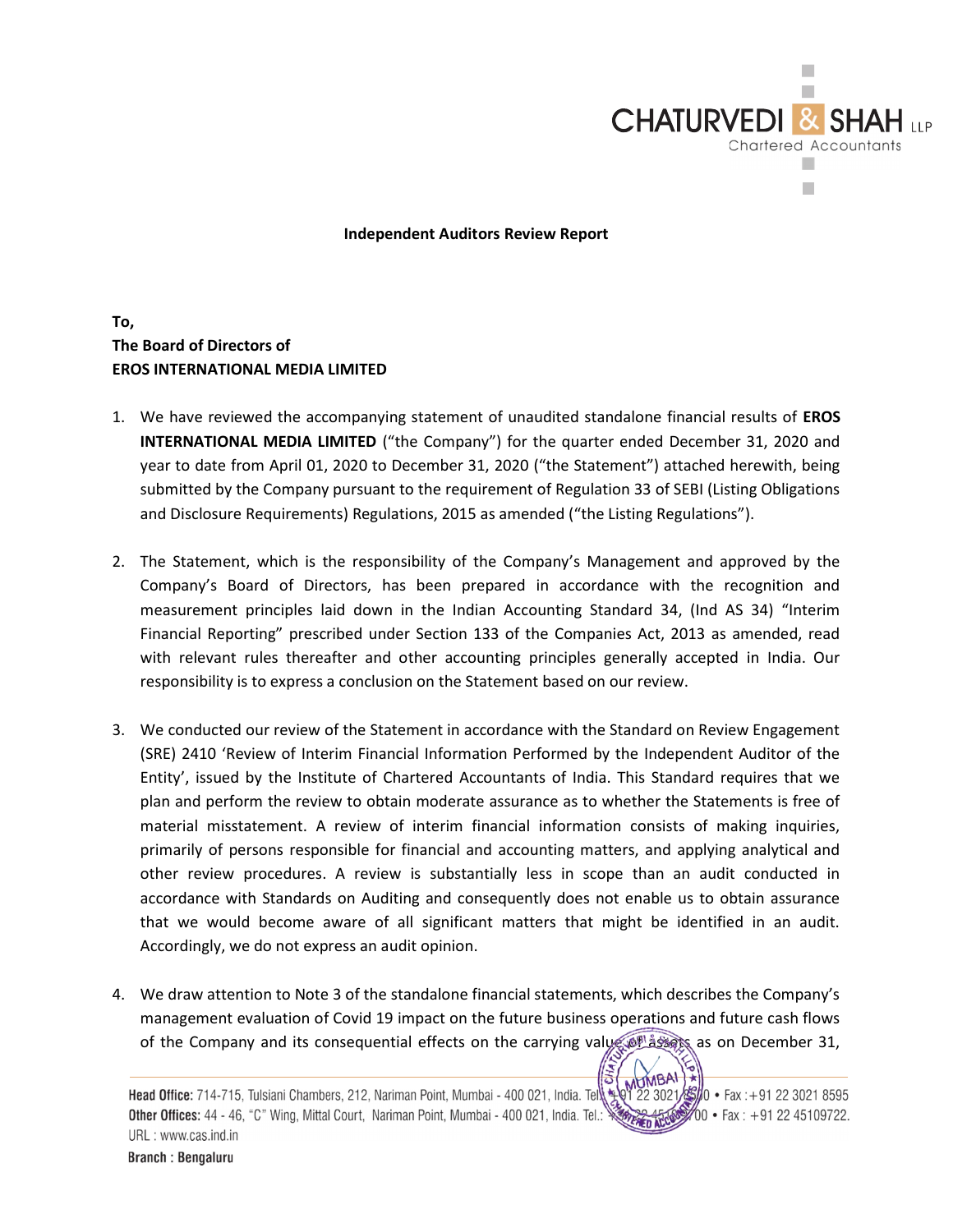

Independent Auditors Review Report

To, The Board of Directors of EROS INTERNATIONAL MEDIA LIMITED

- 1. We have reviewed the accompanying statement of unaudited standalone financial results of EROS INTERNATIONAL MEDIA LIMITED ("the Company") for the quarter ended December 31, 2020 and year to date from April 01, 2020 to December 31, 2020 ("the Statement") attached herewith, being submitted by the Company pursuant to the requirement of Regulation 33 of SEBI (Listing Obligations and Disclosure Requirements) Regulations, 2015 as amended ("the Listing Regulations").
- 2. The Statement, which is the responsibility of the Company's Management and approved by the Company's Board of Directors, has been prepared in accordance with the recognition and measurement principles laid down in the Indian Accounting Standard 34, (Ind AS 34) "Interim Financial Reporting" prescribed under Section 133 of the Companies Act, 2013 as amended, read with relevant rules thereafter and other accounting principles generally accepted in India. Our responsibility is to express a conclusion on the Statement based on our review.
- 3. We conducted our review of the Statement in accordance with the Standard on Review Engagement (SRE) 2410 'Review of Interim Financial Information Performed by the Independent Auditor of the Entity', issued by the Institute of Chartered Accountants of India. This Standard requires that we plan and perform the review to obtain moderate assurance as to whether the Statements is free of material misstatement. A review of interim financial information consists of making inquiries, primarily of persons responsible for financial and accounting matters, and applying analytical and other review procedures. A review is substantially less in scope than an audit conducted in accordance with Standards on Auditing and consequently does not enable us to obtain assurance that we would become aware of all significant matters that might be identified in an audit. Accordingly, we do not express an audit opinion.
- 4. We draw attention to Note 3 of the standalone financial statements, which describes the Company's management evaluation of Covid 19 impact on the future business operations and future cash flows of the Company and its consequential effects on the carrying value of assets as on December 31,